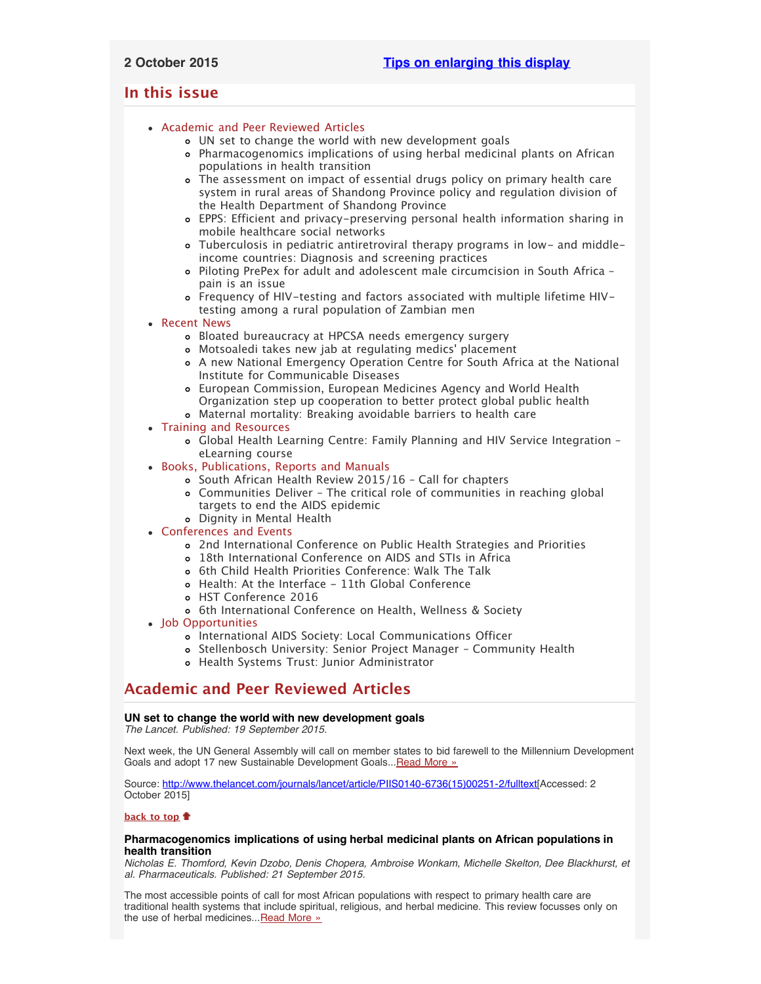# <span id="page-0-3"></span>**In this issue**

- [Academic and Peer Reviewed Articles](#page-0-0)
	- [UN set to change the world with new development goals](#page-0-1)
	- [Pharmacogenomics implications of using herbal medicinal plants on African](#page-0-2) [populations in health transition](#page-0-2)
	- [The assessment on impact of essential drugs policy on primary health care](#page-1-0) [system in rural areas of Shandong Province policy and regulation division of](#page-1-0) [the Health Department of Shandong Province](#page-1-0)
	- [EPPS: Efficient and privacy-preserving personal health information sharing in](#page-1-1) [mobile healthcare social networks](#page-1-1)
	- [Tuberculosis in pediatric antiretroviral therapy programs in low- and middle](#page-1-2)[income countries: Diagnosis and screening practices](#page-1-2)
	- [Piloting PrePex for adult and adolescent male circumcision in South Africa –](#page-1-3) [pain is an issue](#page-1-3)
	- [Frequency of HIV-testing and factors associated with multiple lifetime HIV](#page-1-4)[testing among a rural population of Zambian men](#page-1-4)
- [Recent News](#page-1-5)
	- [Bloated bureaucracy at HPCSA needs emergency surgery](#page-1-6)
	- [Motsoaledi takes new jab at regulating medics](#page-2-0)' placement
	- [A new National Emergency Operation Centre for South Africa at the National](#page-2-1) [Institute for Communicable Diseases](#page-2-1)
	- [European Commission, European Medicines Agency and World Health](#page-2-2) [Organization step up cooperation to better protect global public health](#page-2-2) [Maternal mortality: Breaking avoidable barriers to health care](#page-2-3)
- [Training and Resources](#page-2-4)
	- [Global Health Learning Centre: Family Planning and HIV Service Integration –](#page-2-5) [eLearning course](#page-2-5)
- [Books, Publications, Reports and Manuals](#page-2-6)
	- o South African Health Review 2015/16 Call for chapters
	- [Communities Deliver The critical role of communities in reaching global](#page-2-8) [targets to end the AIDS epidemic](#page-2-8)
	- [Dignity in Mental Health](#page-3-0)
- [Conferences and Events](#page-3-1)
	- [2nd International Conference on Public Health Strategies and Priorities](#page-3-2)
	- [18th International Conference on AIDS and STIs in Africa](#page-3-3)
	- [6th Child Health Priorities Conference: Walk The Talk](#page-3-4)
	- [Health: At the Interface 11th Global Conference](#page-3-5)
	- [HST Conference 2016](#page-3-6)
	- o [6th International Conference on Health, Wellness & Society](#page-3-7)
- [Job Opportunities](#page-4-0)
	- [International AIDS Society: Local Communications Officer](#page-4-1)
	- [Stellenbosch University: Senior Project Manager Community Health](#page-4-2)
	- [Health Systems Trust: Junior Administrator](#page-4-3)

# <span id="page-0-0"></span>**Academic and Peer Reviewed Articles**

# <span id="page-0-1"></span>**UN set to change the world with new development goals**

*The Lancet. Published: 19 September 2015.*

Next week, the UN General Assembly will call on member states to bid farewell to the Millennium Development Goals and adopt 17 new Sustainable Development Goals... [Read More »](http://www.thelancet.com/journals/lancet/article/PIIS0140-6736(15)00251-2/fulltext)

Source: [http://www.thelancet.com/journals/lancet/article/PIIS0140-6736\(15\)00251-2/fulltext\[](http://www.thelancet.com/journals/lancet/article/PIIS0140-6736(15)00251-2/fulltext)Accessed: 2 October 2015]

# **[back to top](#page-0-3)**

# <span id="page-0-2"></span>**Pharmacogenomics implications of using herbal medicinal plants on African populations in health transition**

*Nicholas E. Thomford, Kevin Dzobo, Denis Chopera, Ambroise Wonkam, Michelle Skelton, Dee Blackhurst, et al. Pharmaceuticals. Published: 21 September 2015.*

The most accessible points of call for most African populations with respect to primary health care are traditional health systems that include spiritual, religious, and herbal medicine. This review focusses only on the use of herbal medicines... [Read More »](http://www.mdpi.com/1424-8247/8/3/637)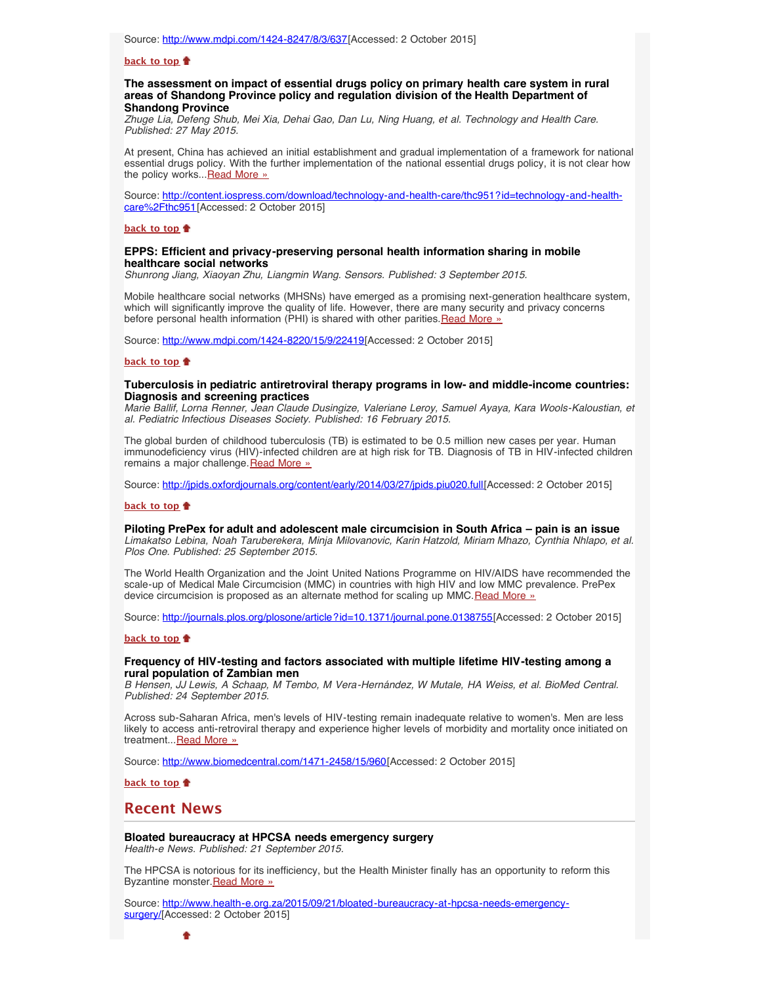### **[back to top](#page-0-3)**

# <span id="page-1-0"></span>**The assessment on impact of essential drugs policy on primary health care system in rural areas of Shandong Province policy and regulation division of the Health Department of Shandong Province**

*Zhuge Lia, Defeng Shub, Mei Xia, Dehai Gao, Dan Lu, Ning Huang, et al. Technology and Health Care. Published: 27 May 2015.*

At present, China has achieved an initial establishment and gradual implementation of a framework for national essential drugs policy. With the further implementation of the national essential drugs policy, it is not clear how the policy works...[Read More »](http://content.iospress.com/download/technology-and-health-care/thc951?id=technology-and-health-care%2Fthc951)

Source: [http://content.iospress.com/download/technology-and-health-care/thc951?id=technology-and-health](http://content.iospress.com/download/technology-and-health-care/thc951?id=technology-and-health-care%2Fthc951)[care%2Fthc951\[](http://content.iospress.com/download/technology-and-health-care/thc951?id=technology-and-health-care%2Fthc951)Accessed: 2 October 2015]

#### **[back to top](#page-0-3)**

## <span id="page-1-1"></span>**EPPS: Efficient and privacy-preserving personal health information sharing in mobile healthcare social networks**

*Shunrong Jiang, Xiaoyan Zhu, Liangmin Wang. Sensors. Published: 3 September 2015.*

Mobile healthcare social networks (MHSNs) have emerged as a promising next-generation healthcare system, which will significantly improve the quality of life. However, there are many security and privacy concerns before personal health information (PHI) is shared with other parities. [Read More »](http://www.mdpi.com/1424-8220/15/9/22419)

Source: [http://www.mdpi.com/1424-8220/15/9/22419\[](http://www.mdpi.com/1424-8220/15/9/22419)Accessed: 2 October 2015]

### **[back to top](#page-0-3)**

## <span id="page-1-2"></span>**Tuberculosis in pediatric antiretroviral therapy programs in low- and middle-income countries: Diagnosis and screening practices**

*Marie Ballif, Lorna Renner, Jean Claude Dusingize, Valeriane Leroy, Samuel Ayaya, Kara Wools-Kaloustian, et al. Pediatric Infectious Diseases Society. Published: 16 February 2015.*

The global burden of childhood tuberculosis (TB) is estimated to be 0.5 million new cases per year. Human immunodeficiency virus (HIV)-infected children are at high risk for TB. Diagnosis of TB in HIV-infected children remains a major challenge. [Read More »](http://jpids.oxfordjournals.org/content/early/2014/03/27/jpids.piu020.full)

Source: [http://jpids.oxfordjournals.org/content/early/2014/03/27/jpids.piu020.full\[](http://jpids.oxfordjournals.org/content/early/2014/03/27/jpids.piu020.full)Accessed: 2 October 2015]

### **[back to top](#page-0-3)**

<span id="page-1-3"></span>**Piloting PrePex for adult and adolescent male circumcision in South Africa – pain is an issue** *Limakatso Lebina, Noah Taruberekera, Minja Milovanovic, Karin Hatzold, Miriam Mhazo, Cynthia Nhlapo, et al. Plos One. Published: 25 September 2015.*

The World Health Organization and the Joint United Nations Programme on HIV/AIDS have recommended the scale-up of Medical Male Circumcision (MMC) in countries with high HIV and low MMC prevalence. PrePex device circumcision is proposed as an alternate method for scaling up MMC. [Read More »](http://journals.plos.org/plosone/article?id=10.1371/journal.pone.0138755)

Source: <http://journals.plos.org/plosone/article?id=10.1371/journal.pone.0138755>[Accessed: 2 October 2015]

#### **[back to top](#page-0-3)**

# <span id="page-1-4"></span>**Frequency of HIV-testing and factors associated with multiple lifetime HIV-testing among a rural population of Zambian men**

*B Hensen, JJ Lewis, A Schaap, M Tembo, M Vera-Hernández, W Mutale, HA Weiss, et al. BioMed Central. Published: 24 September 2015.*

Across sub-Saharan Africa, men's levels of HIV-testing remain inadequate relative to women's. Men are less likely to access anti-retroviral therapy and experience higher levels of morbidity and mortality once initiated on treatment... [Read More »](http://www.biomedcentral.com/1471-2458/15/960)

Source: [http://www.biomedcentral.com/1471-2458/15/960\[](http://www.biomedcentral.com/1471-2458/15/960)Accessed: 2 October 2015]

**[back to top](#page-0-3)**

# <span id="page-1-5"></span>**Recent News**

<span id="page-1-6"></span>**Bloated bureaucracy at HPCSA needs emergency surgery**

*Health-e News. Published: 21 September 2015.*

The HPCSA is notorious for its inefficiency, but the Health Minister finally has an opportunity to reform this Byzantine monster. Read More »

Source: [http://www.health-e.org.za/2015/09/21/bloated-bureaucracy-at-hpcsa-needs-emergency](http://www.health-e.org.za/2015/09/21/bloated-bureaucracy-at-hpcsa-needs-emergency-surgery/)[surgery/](http://www.health-e.org.za/2015/09/21/bloated-bureaucracy-at-hpcsa-needs-emergency-surgery/)[Accessed: 2 October 2015]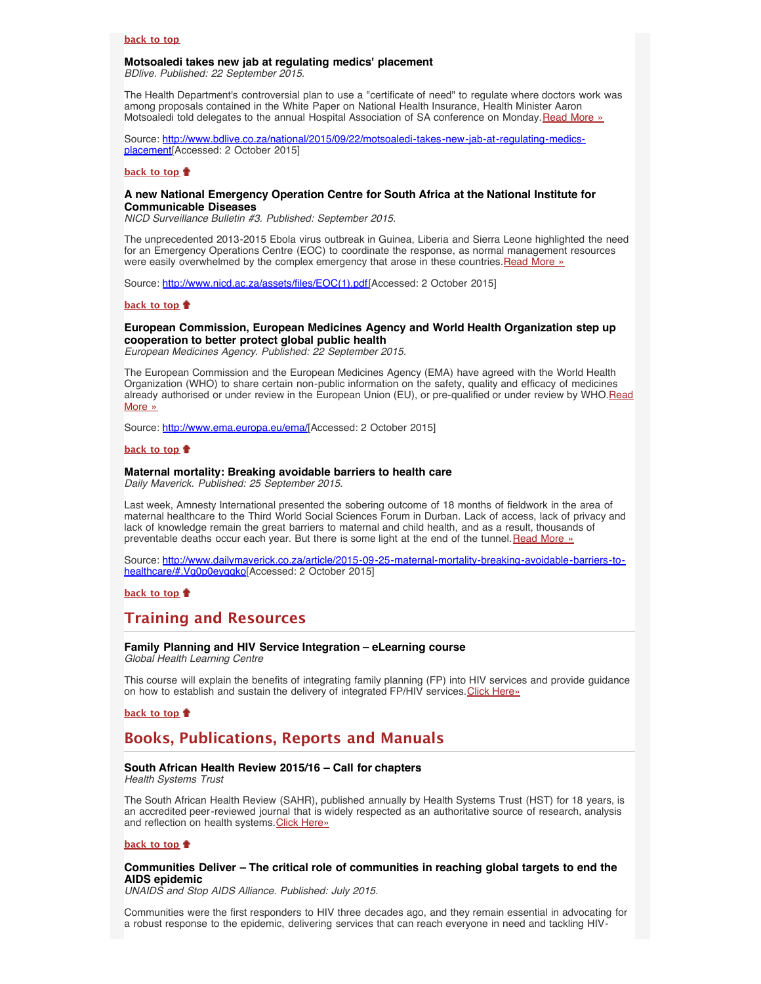# <span id="page-2-0"></span>**Motsoaledi takes new jab at regulating medics' placement**

*BDlive. Published: 22 September 2015.*

The Health Department's controversial plan to use a "certificate of need" to regulate where doctors work was among proposals contained in the White Paper on National Health Insurance, Health Minister Aaron Motsoaledi told delegates to the annual Hospital Association of SA conference on Monday. [Read More »](http://www.hst.org.za/news/motsoaledi-takes-new-jab-regulating-medics-placement)

Source: [http://www.bdlive.co.za/national/2015/09/22/motsoaledi-takes-new-jab-at-regulating-medics](http://www.bdlive.co.za/national/2015/09/22/motsoaledi-takes-new-jab-at-regulating-medics-placement)[placement](http://www.bdlive.co.za/national/2015/09/22/motsoaledi-takes-new-jab-at-regulating-medics-placement)[Accessed: 2 October 2015]

#### **[back to top](#page-0-3)**

### <span id="page-2-1"></span>**A new National Emergency Operation Centre for South Africa at the National Institute for Communicable Diseases**

*NICD Surveillance Bulletin #3. Published: September 2015.*

The unprecedented 2013-2015 Ebola virus outbreak in Guinea, Liberia and Sierra Leone highlighted the need for an Emergency Operations Centre (EOC) to coordinate the response, as normal management resources were easily overwhelmed by the complex emergency that arose in these countries. Read More »

Source: http://www.nicd.ac.za/assets/files/EOC(1).pdf [Accessed: 2 October 2015]

## **[back to top](#page-0-3)**

# <span id="page-2-2"></span>**European Commission, European Medicines Agency and World Health Organization step up cooperation to better protect global public health**

*European Medicines Agency. Published: 22 September 2015.*

The European Commission and the European Medicines Agency (EMA) have agreed with the World Health Organization (WHO) to share certain non-public information on the safety, quality and efficacy of medicines already authorised or under review in the European Union (EU), or pre-qualified or under review by WHO.[Read](http://www.ema.europa.eu/ema/index.jsp?curl=pages/news_and_events/news/2015/09/news_detail_002396.jsp&mid=WC0b01ac058004d5c1) [More »](http://www.ema.europa.eu/ema/index.jsp?curl=pages/news_and_events/news/2015/09/news_detail_002396.jsp&mid=WC0b01ac058004d5c1)

Source: [http://www.ema.europa.eu/ema/\[](http://www.ema.europa.eu/ema/index.jsp?curl=pages/news_and_events/news/2015/09/news_detail_002396.jsp&mid=WC0b01ac058004d5c1)Accessed: 2 October 2015]

# **[back to top](#page-0-3)**

# <span id="page-2-3"></span>**Maternal mortality: Breaking avoidable barriers to health care**

*Daily Maverick. Published: 25 September 2015.*

Last week, Amnesty International presented the sobering outcome of 18 months of fieldwork in the area of maternal healthcare to the Third World Social Sciences Forum in Durban. Lack of access, lack of privacy and lack of knowledge remain the great barriers to maternal and child health, and as a result, thousands of preventable deaths occur each year. But there is some light at the end of the tunnel. [Read More »](http://www.hst.org.za/news/maternal-mortality-breaking-avoidable-barriers-healthcare)

Source: [http://www.dailymaverick.co.za/article/2015-09-25-maternal-mortality-breaking-avoidable-barriers-to](http://www.dailymaverick.co.za/article/2015-09-25-maternal-mortality-breaking-avoidable-barriers-to-healthcare/#.Vg0p0eyqqko)healthcare/#.Vg0p0eygqko[Accessed: 2 October 2015]

**[back to top](#page-0-3)**

# <span id="page-2-4"></span>**Training and Resources**

### <span id="page-2-5"></span>**Family Planning and HIV Service Integration – eLearning course** *Global Health Learning Centre*

This course will explain the benefits of integrating family planning (FP) into HIV services and provide guidance on how to establish and sustain the delivery of integrated FP/HIV services. [Click Here»](http://www.globalhealthlearning.org/course/family-planning-and-hiv-service-integration#sthash.wnFeCIkL.dpuf)

**[back to top](#page-0-3)**

# <span id="page-2-6"></span>**Books, Publications, Reports and Manuals**

# <span id="page-2-7"></span>**South African Health Review 2015/16 – Call for chapters**

*Health Systems Trust*

The South African Health Review (SAHR), published annually by Health Systems Trust (HST) for 18 years, is an accredited peer-reviewed journal that is widely respected as an authoritative source of research, analysis and reflection on health systems. [Click Here»](http://www.hst.org.za/news/south-african-health-review-201516-call-chapters)

#### **[back to top](#page-0-3)**

# <span id="page-2-8"></span>**Communities Deliver – The critical role of communities in reaching global targets to end the AIDS epidemic**

*UNAIDS and Stop AIDS Alliance. Published: July 2015.*

Communities were the first responders to HIV three decades ago, and they remain essential in advocating for a robust response to the epidemic, delivering services that can reach everyone in need and tackling HIV-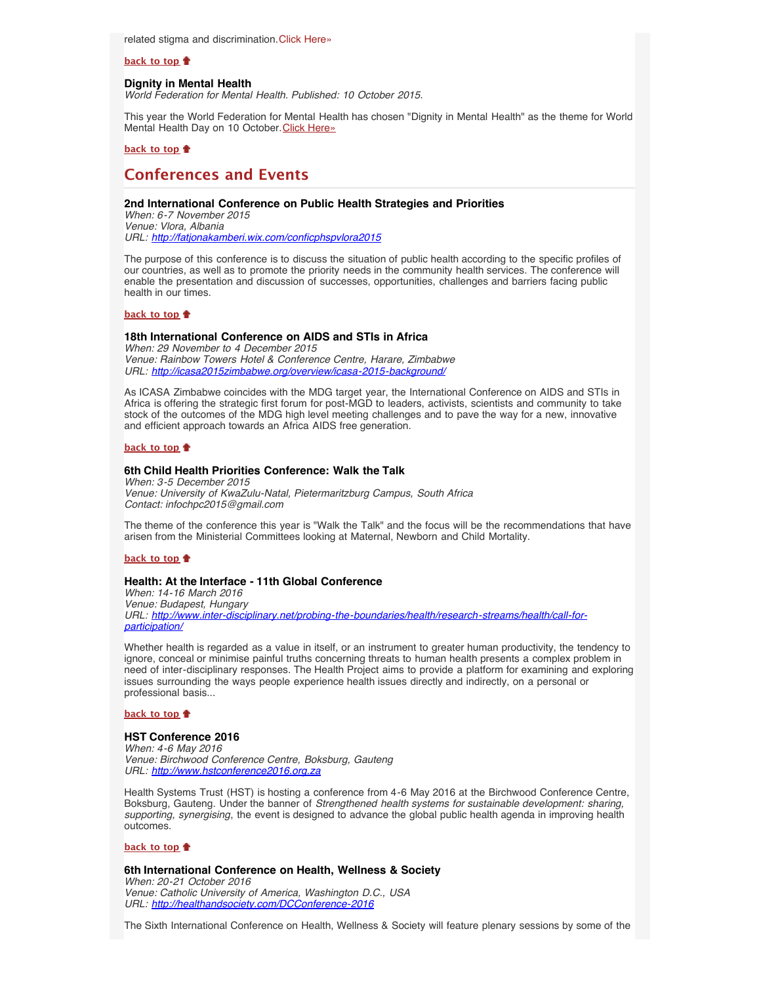related stigma and discrimination.[Click Here»](http://www.hst.org.za/publications/communities-deliver-critical-role-communities-reaching-global-targets-end-aids-epidemic)

#### **[back to top](#page-0-3)**

## <span id="page-3-0"></span>**Dignity in Mental Health**

*World Federation for Mental Health. Published: 10 October 2015.*

This year the World Federation for Mental Health has chosen "Dignity in Mental Health" as the theme for World Mental Health Day on 10 October. [Click Here»](http://www.hst.org.za/publications/dignity-mental-health)

### **[back to top](#page-0-3)**

# <span id="page-3-1"></span>**Conferences and Events**

# <span id="page-3-2"></span>**2nd International Conference on Public Health Strategies and Priorities**

*When: 6-7 November 2015 Venue: Vlora, Albania URL: <http://fatjonakamberi.wix.com/conficphspvlora2015>*

The purpose of this conference is to discuss the situation of public health according to the specific profiles of our countries, as well as to promote the priority needs in the community health services. The conference will enable the presentation and discussion of successes, opportunities, challenges and barriers facing public health in our times.

#### **[back to top](#page-0-3)**

### <span id="page-3-3"></span>**18th International Conference on AIDS and STIs in Africa**

*When: 29 November to 4 December 2015 Venue: Rainbow Towers Hotel & Conference Centre, Harare, Zimbabwe URL: <http://icasa2015zimbabwe.org/overview/icasa-2015-background/>*

As ICASA Zimbabwe coincides with the MDG target year, the International Conference on AIDS and STIs in Africa is offering the strategic first forum for post-MGD to leaders, activists, scientists and community to take stock of the outcomes of the MDG high level meeting challenges and to pave the way for a new, innovative and efficient approach towards an Africa AIDS free generation.

#### **[back to top](#page-0-3)**

## <span id="page-3-4"></span>**6th Child Health Priorities Conference: Walk the Talk**

*When: 3-5 December 2015 Venue: University of KwaZulu-Natal, Pietermaritzburg Campus, South Africa Contact: infochpc2015@gmail.com*

The theme of the conference this year is "Walk the Talk" and the focus will be the recommendations that have arisen from the Ministerial Committees looking at Maternal, Newborn and Child Mortality.

## **[back to top](#page-0-3)**

## <span id="page-3-5"></span>**Health: At the Interface - 11th Global Conference**

*When: 14-16 March 2016 Venue: Budapest, Hungary URL: [http://www.inter-disciplinary.net/probing-the-boundaries/health/research-streams/health/call-for](http://www.inter-disciplinary.net/probing-the-boundaries/health/research-streams/health/call-for-participation/)[participation/](http://www.inter-disciplinary.net/probing-the-boundaries/health/research-streams/health/call-for-participation/)*

Whether health is regarded as a value in itself, or an instrument to greater human productivity, the tendency to ignore, conceal or minimise painful truths concerning threats to human health presents a complex problem in need of inter-disciplinary responses. The Health Project aims to provide a platform for examining and exploring issues surrounding the ways people experience health issues directly and indirectly, on a personal or professional basis...

### **[back to top](#page-0-3)**

#### <span id="page-3-6"></span>**HST Conference 2016**

*When: 4-6 May 2016 Venue: Birchwood Conference Centre, Boksburg, Gauteng URL: [http://www.hstconference2016.org.za](http://www.hstconference2016.org.za/)*

Health Systems Trust (HST) is hosting a conference from 4-6 May 2016 at the Birchwood Conference Centre, Boksburg, Gauteng. Under the banner of *Strengthened health systems for sustainable development: sharing, supporting, synergising*, the event is designed to advance the global public health agenda in improving health outcomes.

## **[back to top](#page-0-3)**

<span id="page-3-7"></span>**6th International Conference on Health, Wellness & Society** *When: 20-21 October 2016*

*Venue: Catholic University of America, Washington D.C., USA URL: <http://healthandsociety.com/DCConference-2016>*

The Sixth International Conference on Health, Wellness & Society will feature plenary sessions by some of the